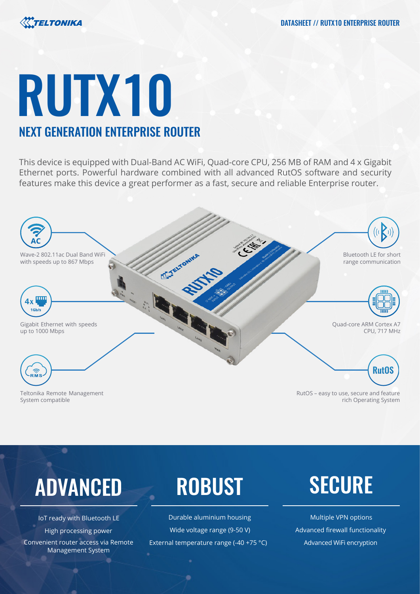

# RUTX10 NEXT GENERATION ENTERPRISE ROUTER

## This device is equipped with Dual-Band AC WiFi, Quad-core CPU, 256 MB of RAM and 4 x Gigabit Ethernet ports. Powerful hardware combined with all advanced RutOS software and security features make this device a great performer as a fast, secure and reliable Enterprise router.



Teltonika Remote Management System compatible

RutOS – easy to use, secure and feature rich Operating System

## ADVANCED ROBUST SECURE

Convenient router access via Remote Management System

IoT ready with Bluetooth LE **State Controllent Controller Controller** Durable aluminium housing Multiple VPN options High processing power Wide voltage range (9-50 V) Advanced firewall functionality External temperature range (-40 +75 °C) Advanced WiFi encryption